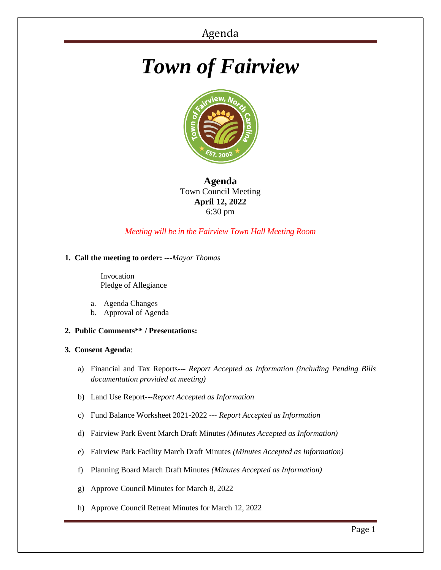# *Town of Fairview*



**Agenda** Town Council Meeting **April 12, 2022** 6:30 pm

# *Meeting will be in the Fairview Town Hall Meeting Room*

## **1. Call the meeting to order:** *---Mayor Thomas*

 Invocation Pledge of Allegiance

- a. Agenda Changes
- b. Approval of Agenda
- **2. Public Comments\*\* / Presentations:**

## **3. Consent Agenda**:

- a) Financial and Tax Reports--- *Report Accepted as Information (including Pending Bills documentation provided at meeting)*
- b) Land Use Report---*Report Accepted as Information*
- c) Fund Balance Worksheet 2021-2022 --- *Report Accepted as Information*
- d) Fairview Park Event March Draft Minutes *(Minutes Accepted as Information)*
- e) Fairview Park Facility March Draft Minutes *(Minutes Accepted as Information)*
- f) Planning Board March Draft Minutes *(Minutes Accepted as Information)*
- g) Approve Council Minutes for March 8, 2022
- h) Approve Council Retreat Minutes for March 12, 2022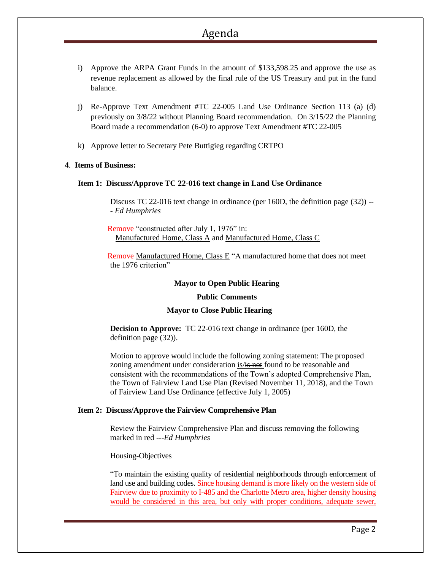# Agenda

- i) Approve the ARPA Grant Funds in the amount of \$133,598.25 and approve the use as revenue replacement as allowed by the final rule of the US Treasury and put in the fund balance.
- j) Re-Approve Text Amendment #TC 22-005 Land Use Ordinance Section 113 (a) (d) previously on 3/8/22 without Planning Board recommendation. On 3/15/22 the Planning Board made a recommendation (6-0) to approve Text Amendment #TC 22-005
- k) Approve letter to Secretary Pete Buttigieg regarding CRTPO

#### **4**. **Items of Business:**

#### **Item 1: Discuss/Approve TC 22-016 text change in Land Use Ordinance**

Discuss TC 22-016 text change in ordinance (per 160D, the definition page (32)) *-- - Ed Humphries*

 Remove "constructed after July 1, 1976" in: Manufactured Home, Class A and Manufactured Home, Class C

 Remove Manufactured Home, Class E "A manufactured home that does not meet the 1976 criterion"

#### **Mayor to Open Public Hearing**

#### **Public Comments**

## **Mayor to Close Public Hearing**

**Decision to Approve:** TC 22-016 text change in ordinance (per 160D, the definition page (32)).

Motion to approve would include the following zoning statement: The proposed zoning amendment under consideration is/is not found to be reasonable and consistent with the recommendations of the Town's adopted Comprehensive Plan, the Town of Fairview Land Use Plan (Revised November 11, 2018), and the Town of Fairview Land Use Ordinance (effective July 1, 2005)

#### **Item 2: Discuss/Approve the Fairview Comprehensive Plan**

Review the Fairview Comprehensive Plan and discuss removing the following marked in red ---*Ed Humphries*

#### Housing-Objectives

"To maintain the existing quality of residential neighborhoods through enforcement of land use and building codes. Since housing demand is more likely on the western side of Fairview due to proximity to I-485 and the Charlotte Metro area, higher density housing would be considered in this area, but only with proper conditions, adequate sewer,